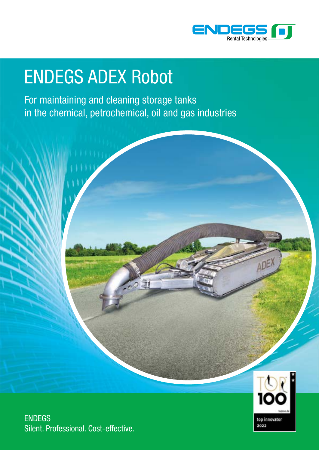

### ENDEGS ADEX Robot

For maintaining and cleaning storage tanks in the chemical, petrochemical, oil and gas industries





ENDEGS Silent. Professional. Cost-effective.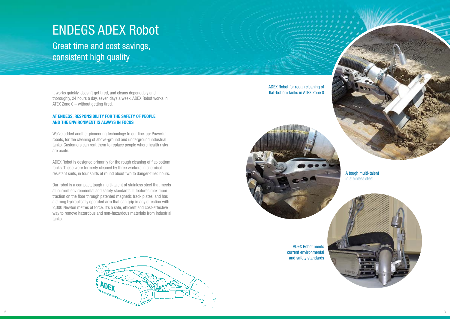It works quickly, doesn't get tired, and cleans dependably and thoroughly, 24 hours a day, seven days a week. ADEX Robot works in ATEX Zone 0 – without getting tired.

### **AT ENDEGS, RESPONSIBILITY FOR THE SAFETY OF PEOPLE AND THE ENVIRONMENT IS ALWAYS IN FOCUS**

We've added another pioneering technology to our line-up: Powerful robots, for the cleaning of above-ground and underground industrial tanks. Customers can rent them to replace people where health risks are acute.

ADEX Robot is designed primarily for the rough cleaning of flat-bottom tanks. These were formerly cleaned by three workers in chemical resistant suits, in four shifts of round about two to danger-filled hours.

Our robot is a compact, tough multi-talent of stainless steel that meets all current environmental and safety standards. It features maximum traction on the floor through patented magnetic track plates, and has a strong hydraulically operated arm that can grip in any direction with 2,000 Newton metres of force. It's a safe, efficient and cost-effective way to remove hazardous and non-hazardous materials from industrial tanks.

ADEX Robot for rough cleaning of flat-bottom tanks in ATEX Zone 0



A tough multi-talent in stainless steel



### ENDEGS ADEX Robot

Great time and cost savings, consistent high quality



ADEX Robot meets current environmental and safety standards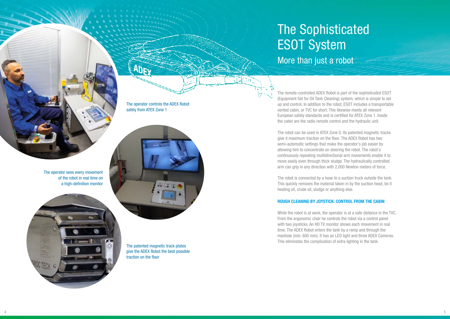The remote-controlled ADEX Robot is part of the sophisticated ESOT (Equipment Set for Oil Tank Cleaning) system, which is simple to set up and control. In addition to the robot, ESOT includes a transportable vented cabin, or TVC for short. This likewise meets all relevant European safety standards and is certified for ATEX Zone 1. Inside the cabin are the radio remote control and the hydraulic unit.

The robot can be used in ATEX Zone 0. Its patented magnetic tracks give it maximum traction on the floor. The ADEX Robot has two semi-automatic settings that make the operator's job easier by allowing him to concentrate on steering the robot. The robot's continuously repeating multidirectional arm movements enable it to move easily even through thick sludge. The hydraulically controlled arm can grip in any direction with 2,000 Newton meters of force.

# **The Sophisticated** ESOT System

The robot is connected by a hose to a suction truck outside the tank. This quickly removes the material taken in by the suction head, be it heating oil, crude oil, sludge or anything else.

#### **ROUGH CLEANING BY JOYSTICK: CONTROL FROM THE CABIN**

While the robot is at work, the operator is at a safe distance in the TVC. From the ergonomic chair he controls the robot via a control panel with two joysticks. An HD TV monitor shows each movement in real time. The ADEX Robot enters the tank by a ramp and through the manhole (min. 600 mm). It has an LED light and three ADEX Cameras. This eliminates the complication of extra lighting in the tank.



More than just a robot

The operator controls the ADEX Robot safely from ATEX Zone 1

The patented magnetic track plates give the ADEX Robot the best possible traction on the floor

The operator sees every movement of the robot in real time on a high-definition monitor

Ø.

**ET**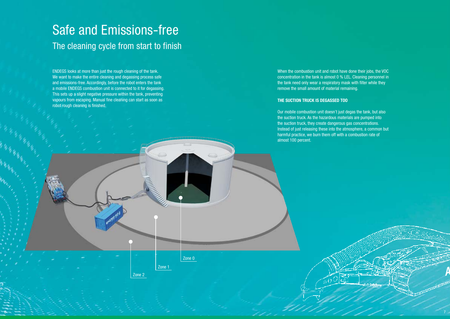### Safe and Emissions-free The cleaning cycle from start to finish

ENDEGS looks at more than just the rough cleaning of the tank. We want to make the entire cleaning and degassing process safe and emissions-free. Accordingly, before the robot enters the tank a mobile ENDEGS combustion unit is connected to it for degassing. This sets up a slight negative pressure within the tank, preventing vapours from escaping. Manual fine cleaning can start as soon as robot rough cleaning is finished.

Zone 0

Zone 1

Zone 2

When the combustion unit and robot have done their jobs, the VOC concentration in the tank is almost 0 % LEL. Cleaning personnel in the tank need only wear a respiratory mask with filter while they remove the small amount of material remaining.

#### **THE SUCTION TRUCK IS DEGASSED TOO**

Our mobile combustion unit doesn't just degas the tank, but also the suction truck. As the hazardous materials are pumped into the suction truck, they create dangerous gas concentrations. Instead of just releasing these into the atmosphere, a common but harmful practice, we burn them off with a combustion rate of almost 100 percent.

**ADEX**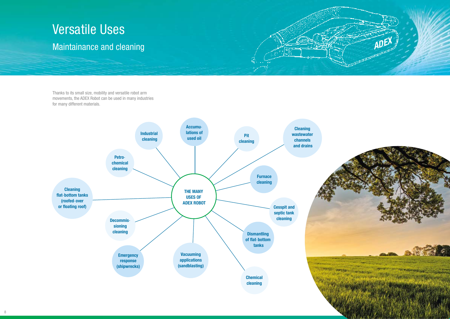## Versatile Uses

### Maintainance and cleaning

Thanks to its small size, mobility and versatile robot arm movements, the ADEX Robot can be used in many industries for many different materials.



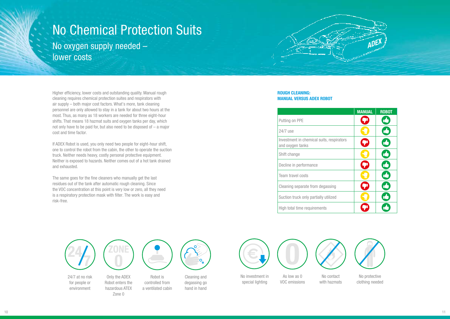No protective clothing needed



Higher efficiency, lower costs and outstanding quality. Manual rough cleaning requires chemical protection suites and respirators with air supply – both major cost factors. What's more, tank cleaning personnel are only allowed to stay in a tank for about two hours at the most. Thus, as many as 18 workers are needed for three eight-hour shifts. That means 18 hazmat suits and oxygen tanks per day, which not only have to be paid for, but also need to be disposed of – a major cost and time factor.

If ADEX Robot is used, you only need two people for eight-hour shift, one to control the robot from the cabin, the other to operate the suction truck. Neither needs heavy, costly personal protective equipment. Neither is exposed to hazards. Neither comes out of a hot tank drained and exhausted.

The same goes for the fine cleaners who manually get the last residues out of the tank after automatic rough cleaning. Since the VOC concentration at this point is very low or zero, all they need is a respiratory protection mask with filter. The work is easy and risk-free.

#### **ROUGH CLEANING: MANUAL VERSUS ADEX ROBOT**

### No Chemical Protection Suits No oxygen supply needed –

lower costs

|      | <b>MANUAL</b>           | <b>ROBOT</b> |
|------|-------------------------|--------------|
|      | OI                      | $\mathbb{L}$ |
|      |                         | <b>IĆ</b>    |
| tors | $\boldsymbol{\Omega}$   | U            |
|      |                         | ıé           |
|      |                         | Ŋ            |
|      |                         | <b>IC</b>    |
|      | $\boldsymbol{\epsilon}$ | <u>ić</u>    |
|      |                         | Т            |
|      |                         |              |



| Putting on PPE                                                |
|---------------------------------------------------------------|
| 24/7 use                                                      |
| Investment in chemical suits, respirators<br>and oxygen tanks |
| Shift change                                                  |
| Decline in performance                                        |
| <b>Team travel costs</b>                                      |
| Cleaning separate from degassing                              |
| Suction truck only partially utilized                         |
| High total time requirements                                  |
|                                                               |

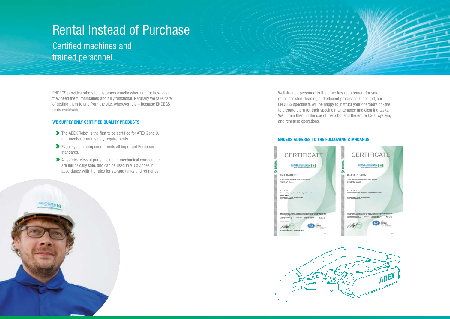ENDEGS provides robots to customers exactly when and for how long they need them, maintained and fully functional. Naturally we take care of getting them to and from the site, wherever it is – because ENDEGS rents worldwide.

#### **WE SUPPLY ONLY CERTIFIED QUALITY PRODUCTS**

ENDEGS (\*)

- The ADEX Robot is the first to be certified for ATEX Zone 0, and meets German safety requirements.
- Every system component meets all important European standards.
- All safety-relevant parts, including mechanical components, are intrinsically safe, and can be used in ATEX Zones in accordance with the rules for storage tanks and refineries.

### Rental Instead of Purchase

Certified machines and trained personnel

> Well-trained personnel is the other key requirement for safe, robot-assisted cleaning and efficient processes. If desired, our ENDEGS specialists will be happy to instruct your operators on-site to prepare them for their specific maintenance and cleaning tasks. We'll train them in the use of the robot and the entire ESOT system, and rehearse operations.

#### **ENDEGS ADHERES TO THE FOLLOWING STANDARDS**





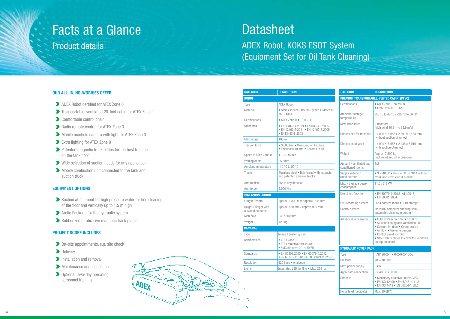| <b>CATEGORY</b>                                                                     | <b>DESCRIPTION</b>                                                        | <b>CATEGORY</b>                              | <b>DESCRIPTION</b>                                                                                                                                                                                                                               |
|-------------------------------------------------------------------------------------|---------------------------------------------------------------------------|----------------------------------------------|--------------------------------------------------------------------------------------------------------------------------------------------------------------------------------------------------------------------------------------------------|
| <b>ROBOT</b>                                                                        |                                                                           |                                              | PREMIUM TRANSPORTABLE, VENTED CABIN. (PTVC)                                                                                                                                                                                                      |
| Type                                                                                | <b>ADEX Robot</b>                                                         | Certifications                               | • ATEX Zone 1 premium                                                                                                                                                                                                                            |
| Material                                                                            | • Stainless steel, AISI 316 grade • Material                              | Ambient / storage<br>temperature             | • Il 2G Ex v2 IIB T3 Gb<br>-20 °C to 40 °C / -20 °C to 50 °C                                                                                                                                                                                     |
| Certifications                                                                      | no. 1.4404                                                                |                                              |                                                                                                                                                                                                                                                  |
| • ATEX Zone 0 • 1G IIB T4<br><b>Standards</b><br>• EN 13463-1:2009 • EN13463-3:2005 |                                                                           | Max. wind force                              | 6 Beaufort                                                                                                                                                                                                                                       |
|                                                                                     | • EN 13463-5:2011 • EN 13463-6:2005                                       |                                              | (high wind $10,8 - < 13,9$ m/s)                                                                                                                                                                                                                  |
|                                                                                     | • EN13463-8:2003                                                          | Dimensions for transport                     | L x W x H: 6,058 x 2,591 x 2,438 mm<br>(without suction chimney)                                                                                                                                                                                 |
| Max. range                                                                          | 100 <sub>m</sub>                                                          | Dimension at work                            | L x W x H: 6,058 x 2,438 x 6,910 mm                                                                                                                                                                                                              |
| <b>Traction force</b>                                                               | • 3,000 Nm • Measured on Fe plate<br>• Thickness 10 mm • Covered in oil   |                                              | (with suction chimney)                                                                                                                                                                                                                           |
| Speed in ATEX Zone 0                                                                | $1 - 10$ m/min                                                            | Weight                                       | Approx. 7,500 kg<br>(incl. robot and all accessories)                                                                                                                                                                                            |
| Wading depth                                                                        | 250 mm                                                                    |                                              |                                                                                                                                                                                                                                                  |
| Ambient temperature                                                                 | $-10$ °C to 50 °C                                                         | Amount / ventilated and<br>conditioned rooms | 3/2                                                                                                                                                                                                                                              |
| <b>Tracks</b>                                                                       | Stainless steel . Reinforced with magnets<br>and patented abrasive tracks | Supply voltage /<br>rated current            | $\bullet$ 3 ~ 400 V $\bullet$ TN-S $\bullet$ 50 Hz /40 A without<br>residual current circuit breaker                                                                                                                                             |
| Arm motion                                                                          | 35° in any direction<br>Max. / average power                              |                                              | 11,5 / 7,5 kW                                                                                                                                                                                                                                    |
| Arm force                                                                           | 2,000 Nm                                                                  | consumption                                  |                                                                                                                                                                                                                                                  |
| <b>DIMENSIONS ROBOT</b>                                                             |                                                                           | Directives / norms                           | • EN 60079-0:2012+A11:2013<br>• EN 50381:2004                                                                                                                                                                                                    |
| Length / Width                                                                      | Approx. 1,800 mm / approx. 545 mm                                         | DVR recording system                         | For 4 camera feeds • 1 TB storage                                                                                                                                                                                                                |
| Height / Height with<br>elevated cameras                                            | Approx. 400 mm / approx. 900 mm                                           | Control system                               | Industrial computer enabling semi-<br>automated cleaning program                                                                                                                                                                                 |
| Man hole                                                                            | 24" / 600 mm                                                              | Additional accessories                       |                                                                                                                                                                                                                                                  |
| Weight                                                                              | 420 kg                                                                    |                                              | • Full HD TV screen 32"• 1080 px<br>• Air conditioning and ventilation unit<br>• Sensors for door • Overpressure<br>• Air flow • Fire emergencies<br>• Control panel for robot<br>• Steel safety plates to cover the windows<br>during transport |
| <b>CAMERAS</b>                                                                      |                                                                           |                                              |                                                                                                                                                                                                                                                  |
| Type                                                                                | Image transfer system                                                     |                                              |                                                                                                                                                                                                                                                  |
| Certifications                                                                      | • ATEX Zone 0                                                             |                                              |                                                                                                                                                                                                                                                  |
|                                                                                     | • ATEX directive 2014/34/EU<br>• EMC directive 2014/30/EU                 | <b>HYDRAULIC POWER PACK</b>                  |                                                                                                                                                                                                                                                  |
| <b>Standards</b>                                                                    | • EN 50303:2000 • EN 60079-0:2012                                         | Type                                         | HAH120-2x1 • 6-2x9-2x100/a                                                                                                                                                                                                                       |
|                                                                                     | • EN 60079-11:2012 • EN 60079-26:2007                                     | Pressure                                     | $70 - 100$ bar                                                                                                                                                                                                                                   |
| Resolution                                                                          | 520 lines · Analogue                                                      | Max. power supply                            | 5 kW                                                                                                                                                                                                                                             |
| Lights                                                                              | Integrated LED lighting . Max. 235 lux                                    | Aggregate connection                         | 3 x 400 V • 50 Hz                                                                                                                                                                                                                                |
|                                                                                     |                                                                           | <b>Directive</b>                             | · Machinery directive 2006/42/EG<br>• EN ISO 12100 • EN ISO 614-1+A1<br>• EN ISO 4413 • EN 60204-1 ED.2.                                                                                                                                         |
|                                                                                     |                                                                           | Noise level (decibels)                       | Max. 80 $dB(A)$                                                                                                                                                                                                                                  |

| <b>ROBOT</b>                             |                                                                                                       |  |  |
|------------------------------------------|-------------------------------------------------------------------------------------------------------|--|--|
| Type                                     | <b>ADEX Robot</b>                                                                                     |  |  |
| Material                                 | • Stainless steel, AISI 316 grade • Material<br>no. 1.4404                                            |  |  |
| Certifications                           | • ATEX Zone 0 • 1G IIB T4                                                                             |  |  |
| Standards                                | • EN 13463-1:2009 • EN13463-3:2005<br>• EN 13463-5:2011 • EN 13463-6:2005<br>$\bullet$ FN13463-8:2003 |  |  |
| Max. range                               | 100 m                                                                                                 |  |  |
| <b>Traction force</b>                    | • 3,000 Nm • Measured on Fe plate<br>• Thickness 10 mm • Covered in oil                               |  |  |
| Speed in ATEX Zone 0                     | $1 - 10$ m/min                                                                                        |  |  |
| Wading depth                             | 250 mm                                                                                                |  |  |
| Ambient temperature                      | $-10$ °C to 50 °C                                                                                     |  |  |
| <b>Tracks</b>                            | Stainless steel . Reinforced with magnets<br>and patented abrasive tracks                             |  |  |
| Arm motion                               | 35° in any direction                                                                                  |  |  |
| Arm force                                | 2,000 Nm                                                                                              |  |  |
| <b>DIMENSIONS ROBOT</b>                  |                                                                                                       |  |  |
| Length / Width                           | Approx. 1,800 mm / approx. 545 mm                                                                     |  |  |
| Height / Height with<br>elevated cameras | Approx. 400 mm / approx. 900 mm                                                                       |  |  |
| Man hole                                 | 24" / 600 mm                                                                                          |  |  |
| Weight                                   | 420 kg                                                                                                |  |  |
| <b>CAMERAS</b>                           |                                                                                                       |  |  |
| Type                                     | Image transfer system                                                                                 |  |  |
| Certifications                           | • ATEX Zone 0<br>• ATFX directive 2014/34/FU<br>• EMC directive 2014/30/EU                            |  |  |
| Standards                                | • EN 50303:2000 • EN 60079-0:2012<br>• EN 60079-11:2012 • EN 60079-26:2007                            |  |  |
| Resolution                               | 520 lines · Analogue                                                                                  |  |  |
| Lights                                   | Integrated LED lighting . Max. 235 lux                                                                |  |  |
|                                          |                                                                                                       |  |  |

- ADEX Robot certified for ATEX Zone 0
- Transportable, ventilated 20 -foot cabin for ATEX Zone 1
- Comfortable control chair
- Radio remote control for ATEX Zone 0
- Mobile manhole camera with light for ATEX Zone 0
- **Extra lighting for ATEX Zone 0**
- Patented magnetic track plates for the best traction on the tank floor
- Wide selection of suction heads for any application
- Mobile combustion unit connected to the tank and suction truck

## Facts at a Glance

### Product details

### **Datasheet**

#### **OUR ALL** -**IN, NO** -**WORRIES OFFER**

### **EQUIPMENT OPTIONS**

- $\blacktriangleright$  Suction attachment for high pressure water for fine cleaning of the floor and vertically up to 1.5 m high
- **Arctic Package for the hydraulic system**
- **Rubberized or abrasive magnetic track plates**

#### **PROJECT SCOPE INCLUDES**

- On -site appointments, e.g. site check
- Delivery
- **Installation and removal**
- **Maintenance and inspection**
- Optional: Two -day operating personnel training



ADEX Robot, KOKS ESOT System (Equipment Set for Oil Tank Cleaning)